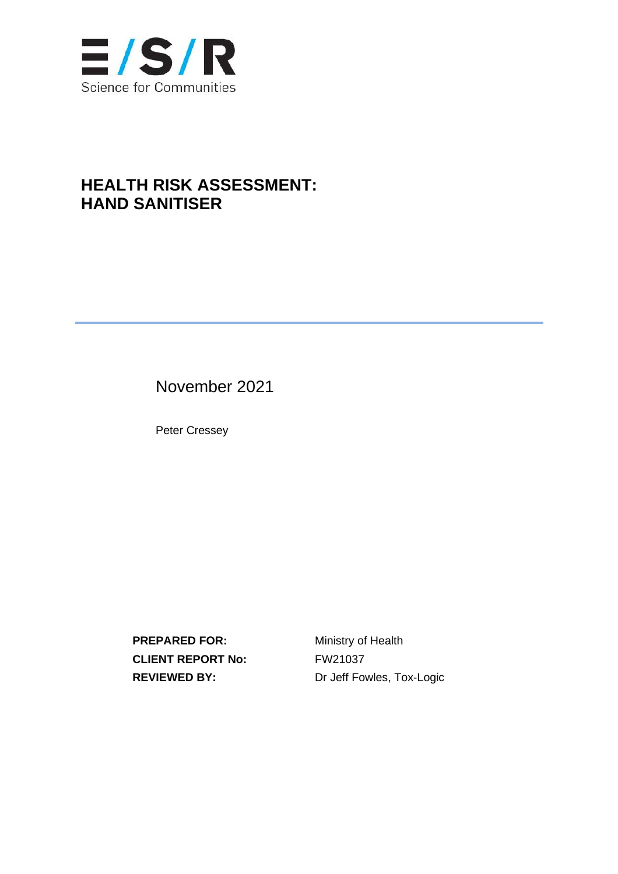

## **HEALTH RISK ASSESSMENT: HAND SANITISER**

November 2021

Peter Cressey

**PREPARED FOR:** Ministry of Health **CLIENT REPORT No:** FW21037

**REVIEWED BY:** Dr Jeff Fowles, Tox-Logic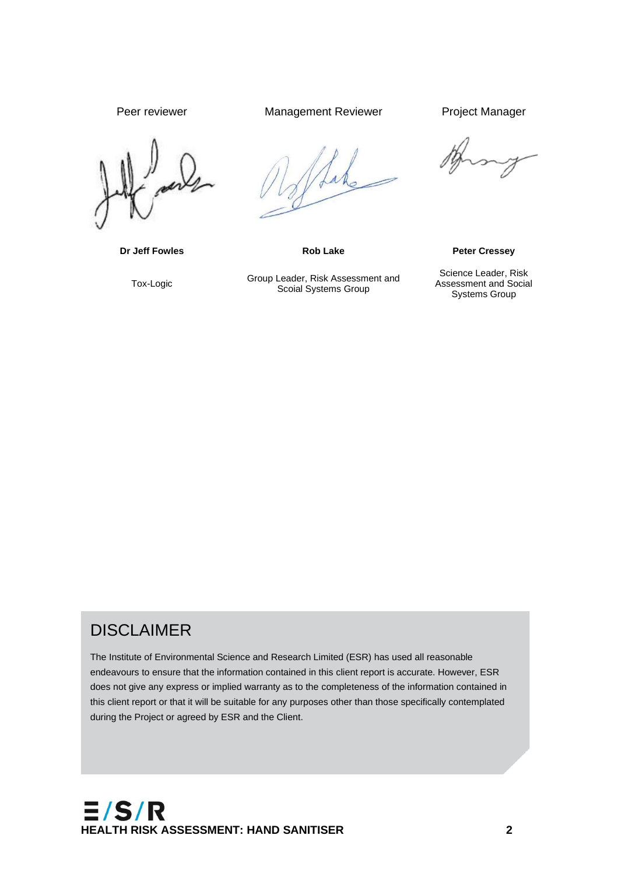Tox-Logic Group Leader, Risk Assessment and<br>
Scoial Systems Group

Peer reviewer **Management Reviewer** Project Manager

Scoial Systems Group

**Dr Jeff Fowles <b>Rob Lake Peter Cressey** 

Science Leader, Risk Assessment and Social Systems Group

## DISCLAIMER

The Institute of Environmental Science and Research Limited (ESR) has used all reasonable endeavours to ensure that the information contained in this client report is accurate. However, ESR does not give any express or implied warranty as to the completeness of the information contained in this client report or that it will be suitable for any purposes other than those specifically contemplated during the Project or agreed by ESR and the Client.

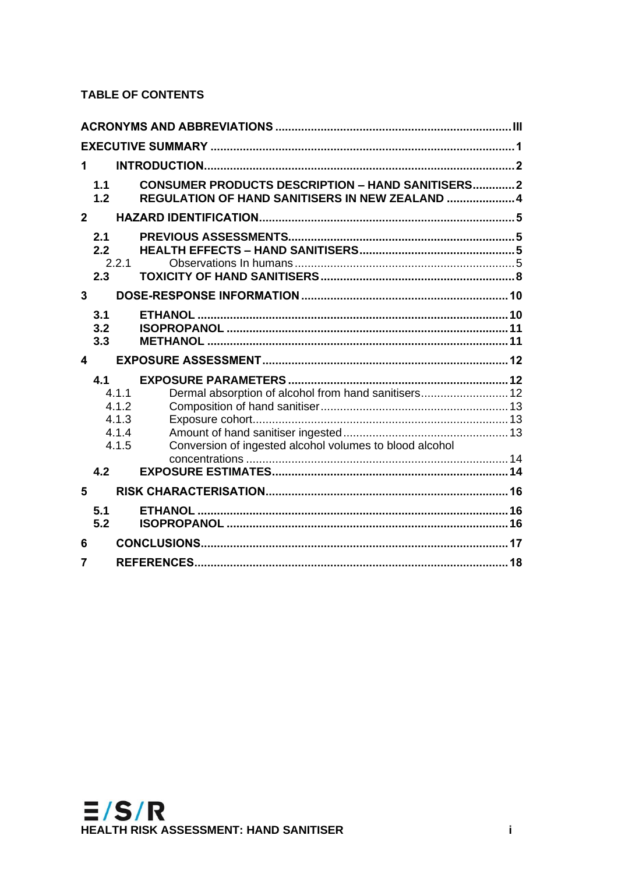### **TABLE OF CONTENTS**

| 1.             |                   |                                                                                                            |  |
|----------------|-------------------|------------------------------------------------------------------------------------------------------------|--|
|                | 1.1<br>1.2        | <b>CONSUMER PRODUCTS DESCRIPTION - HAND SANITISERS2</b><br>REGULATION OF HAND SANITISERS IN NEW ZEALAND  4 |  |
| $\overline{2}$ |                   |                                                                                                            |  |
|                | 2.1<br>2.2<br>2.3 | 2.2.1                                                                                                      |  |
| $\overline{3}$ |                   |                                                                                                            |  |
|                | 3.1<br>3.2        |                                                                                                            |  |
|                | 3.3               |                                                                                                            |  |
| 4              |                   |                                                                                                            |  |
|                | 4.1               | 4.1.1<br>Dermal absorption of alcohol from hand sanitisers 12<br>4.1.2<br>4.1.3<br>4.1.4                   |  |
|                |                   | Conversion of ingested alcohol volumes to blood alcohol<br>4.1.5                                           |  |
|                | 4.2               |                                                                                                            |  |
| 5              |                   |                                                                                                            |  |
|                | 5.1<br>5.2        |                                                                                                            |  |
| 6              |                   |                                                                                                            |  |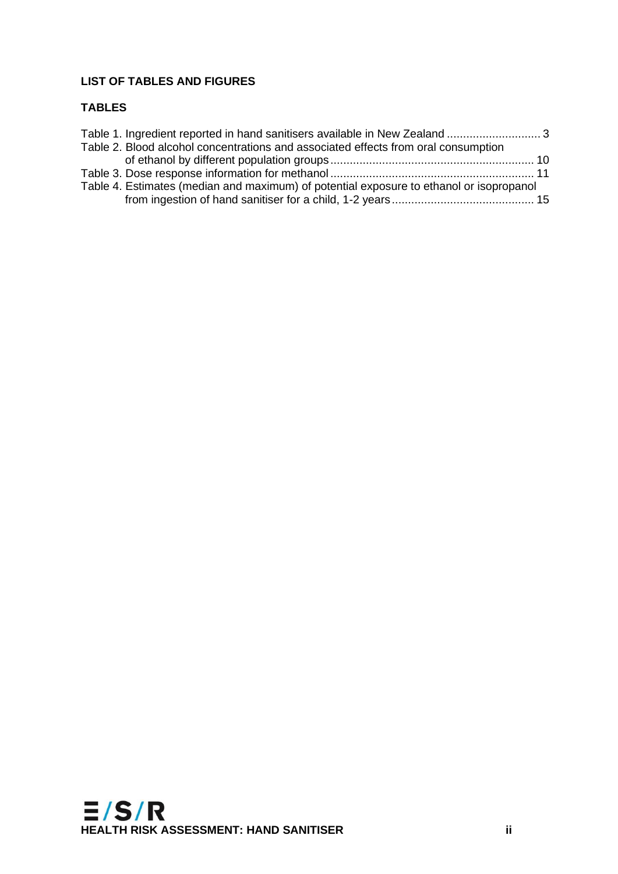### **LIST OF TABLES AND FIGURES**

#### **TABLES**

| Table 1. Ingredient reported in hand sanitisers available in New Zealand  3             |  |
|-----------------------------------------------------------------------------------------|--|
| Table 2. Blood alcohol concentrations and associated effects from oral consumption      |  |
|                                                                                         |  |
|                                                                                         |  |
| Table 4. Estimates (median and maximum) of potential exposure to ethanol or isopropanol |  |
|                                                                                         |  |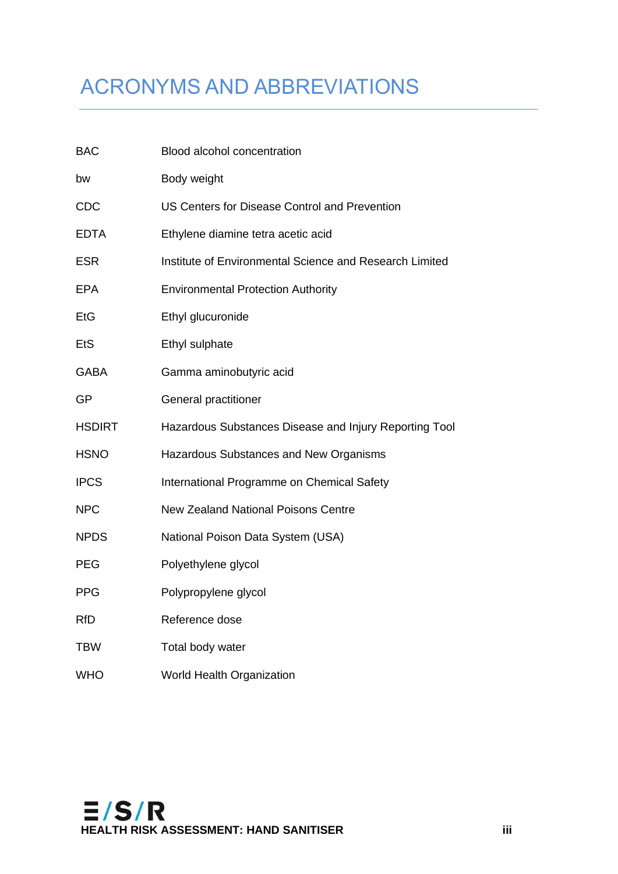# <span id="page-4-0"></span>ACRONYMS AND ABBREVIATIONS

| <b>BAC</b>    | Blood alcohol concentration                             |
|---------------|---------------------------------------------------------|
| bw            | Body weight                                             |
| <b>CDC</b>    | US Centers for Disease Control and Prevention           |
| <b>EDTA</b>   | Ethylene diamine tetra acetic acid                      |
| <b>ESR</b>    | Institute of Environmental Science and Research Limited |
| <b>EPA</b>    | <b>Environmental Protection Authority</b>               |
| EtG           | Ethyl glucuronide                                       |
| EtS           | Ethyl sulphate                                          |
| <b>GABA</b>   | Gamma aminobutyric acid                                 |
| GP            | General practitioner                                    |
| <b>HSDIRT</b> | Hazardous Substances Disease and Injury Reporting Tool  |
| <b>HSNO</b>   | Hazardous Substances and New Organisms                  |
| <b>IPCS</b>   | International Programme on Chemical Safety              |
| <b>NPC</b>    | <b>New Zealand National Poisons Centre</b>              |
| <b>NPDS</b>   | National Poison Data System (USA)                       |
| <b>PEG</b>    | Polyethylene glycol                                     |
| <b>PPG</b>    | Polypropylene glycol                                    |
| <b>RfD</b>    | Reference dose                                          |
| <b>TBW</b>    | Total body water                                        |
| <b>WHO</b>    | <b>World Health Organization</b>                        |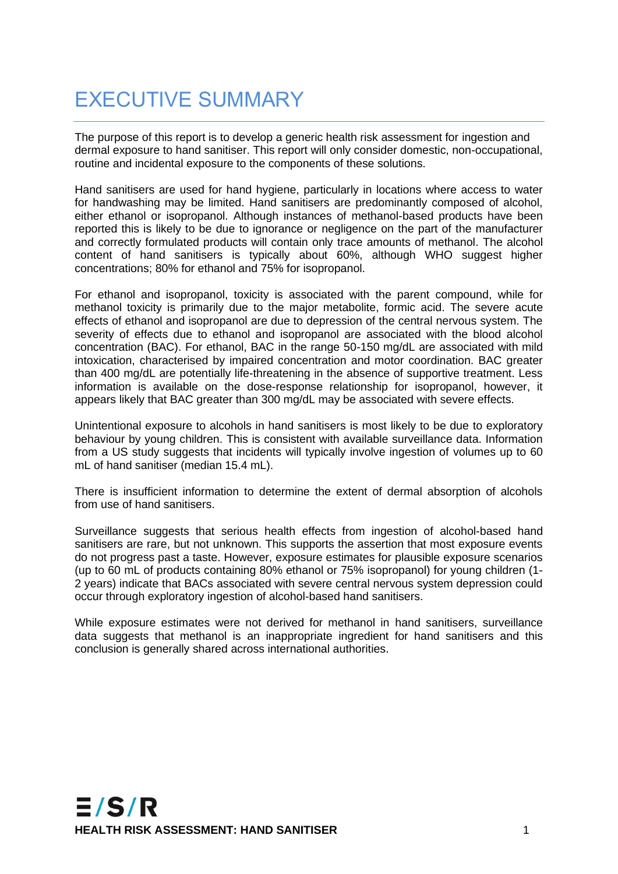# <span id="page-5-0"></span>EXECUTIVE SUMMARY

The purpose of this report is to develop a generic health risk assessment for ingestion and dermal exposure to hand sanitiser. This report will only consider domestic, non-occupational, routine and incidental exposure to the components of these solutions.

Hand sanitisers are used for hand hygiene, particularly in locations where access to water for handwashing may be limited. Hand sanitisers are predominantly composed of alcohol, either ethanol or isopropanol. Although instances of methanol-based products have been reported this is likely to be due to ignorance or negligence on the part of the manufacturer and correctly formulated products will contain only trace amounts of methanol. The alcohol content of hand sanitisers is typically about 60%, although WHO suggest higher concentrations; 80% for ethanol and 75% for isopropanol.

For ethanol and isopropanol, toxicity is associated with the parent compound, while for methanol toxicity is primarily due to the major metabolite, formic acid. The severe acute effects of ethanol and isopropanol are due to depression of the central nervous system. The severity of effects due to ethanol and isopropanol are associated with the blood alcohol concentration (BAC). For ethanol, BAC in the range 50-150 mg/dL are associated with mild intoxication, characterised by impaired concentration and motor coordination. BAC greater than 400 mg/dL are potentially life-threatening in the absence of supportive treatment. Less information is available on the dose-response relationship for isopropanol, however, it appears likely that BAC greater than 300 mg/dL may be associated with severe effects.

Unintentional exposure to alcohols in hand sanitisers is most likely to be due to exploratory behaviour by young children. This is consistent with available surveillance data. Information from a US study suggests that incidents will typically involve ingestion of volumes up to 60 mL of hand sanitiser (median 15.4 mL).

There is insufficient information to determine the extent of dermal absorption of alcohols from use of hand sanitisers.

Surveillance suggests that serious health effects from ingestion of alcohol-based hand sanitisers are rare, but not unknown. This supports the assertion that most exposure events do not progress past a taste. However, exposure estimates for plausible exposure scenarios (up to 60 mL of products containing 80% ethanol or 75% isopropanol) for young children (1- 2 years) indicate that BACs associated with severe central nervous system depression could occur through exploratory ingestion of alcohol-based hand sanitisers.

While exposure estimates were not derived for methanol in hand sanitisers, surveillance data suggests that methanol is an inappropriate ingredient for hand sanitisers and this conclusion is generally shared across international authorities.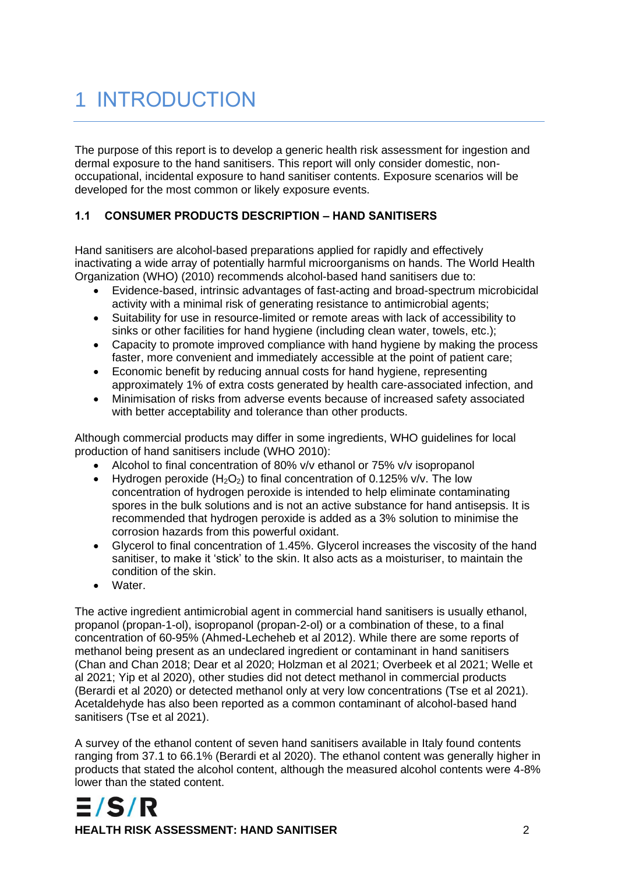# <span id="page-6-0"></span>1 INTRODUCTION

The purpose of this report is to develop a generic health risk assessment for ingestion and dermal exposure to the hand sanitisers. This report will only consider domestic, nonoccupational, incidental exposure to hand sanitiser contents. Exposure scenarios will be developed for the most common or likely exposure events.

#### <span id="page-6-1"></span>**1.1 CONSUMER PRODUCTS DESCRIPTION – HAND SANITISERS**

Hand sanitisers are alcohol-based preparations applied for rapidly and effectively inactivating a wide array of potentially harmful microorganisms on hands. The World Health Organization (WHO) (2010) recommends alcohol-based hand sanitisers due to:

- Evidence-based, intrinsic advantages of fast-acting and broad-spectrum microbicidal activity with a minimal risk of generating resistance to antimicrobial agents;
- Suitability for use in resource-limited or remote areas with lack of accessibility to sinks or other facilities for hand hygiene (including clean water, towels, etc.);
- Capacity to promote improved compliance with hand hygiene by making the process faster, more convenient and immediately accessible at the point of patient care;
- Economic benefit by reducing annual costs for hand hygiene, representing approximately 1% of extra costs generated by health care-associated infection, and
- Minimisation of risks from adverse events because of increased safety associated with better acceptability and tolerance than other products.

Although commercial products may differ in some ingredients, WHO guidelines for local production of hand sanitisers include (WHO 2010):

- Alcohol to final concentration of 80% v/v ethanol or 75% v/v isopropanol
- Hydrogen peroxide  $(H_2O_2)$  to final concentration of 0.125% v/v. The low concentration of hydrogen peroxide is intended to help eliminate contaminating spores in the bulk solutions and is not an active substance for hand antisepsis. It is recommended that hydrogen peroxide is added as a 3% solution to minimise the corrosion hazards from this powerful oxidant.
- Glycerol to final concentration of 1.45%. Glycerol increases the viscosity of the hand sanitiser, to make it 'stick' to the skin. It also acts as a moisturiser, to maintain the condition of the skin.
- Water.

The active ingredient antimicrobial agent in commercial hand sanitisers is usually ethanol, propanol (propan-1-ol), isopropanol (propan-2-ol) or a combination of these, to a final concentration of 60-95% (Ahmed-Lecheheb et al 2012). While there are some reports of methanol being present as an undeclared ingredient or contaminant in hand sanitisers (Chan and Chan 2018; Dear et al 2020; Holzman et al 2021; Overbeek et al 2021; Welle et al 2021; Yip et al 2020), other studies did not detect methanol in commercial products (Berardi et al 2020) or detected methanol only at very low concentrations (Tse et al 2021). Acetaldehyde has also been reported as a common contaminant of alcohol-based hand sanitisers (Tse et al 2021).

A survey of the ethanol content of seven hand sanitisers available in Italy found contents ranging from 37.1 to 66.1% (Berardi et al 2020). The ethanol content was generally higher in products that stated the alcohol content, although the measured alcohol contents were 4-8% lower than the stated content.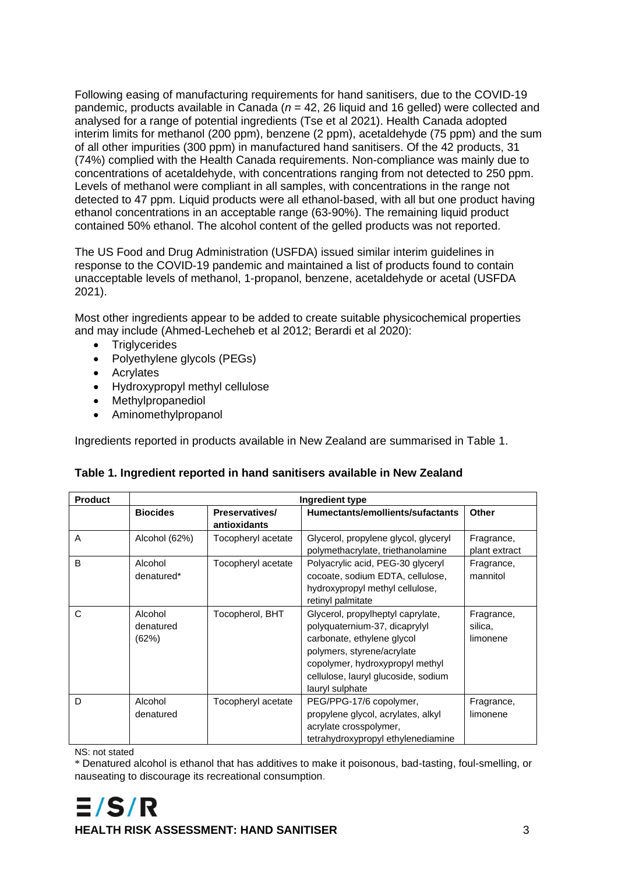Following easing of manufacturing requirements for hand sanitisers, due to the COVID-19 pandemic, products available in Canada (*n* = 42, 26 liquid and 16 gelled) were collected and analysed for a range of potential ingredients (Tse et al 2021). Health Canada adopted interim limits for methanol (200 ppm), benzene (2 ppm), acetaldehyde (75 ppm) and the sum of all other impurities (300 ppm) in manufactured hand sanitisers. Of the 42 products, 31 (74%) complied with the Health Canada requirements. Non-compliance was mainly due to concentrations of acetaldehyde, with concentrations ranging from not detected to 250 ppm. Levels of methanol were compliant in all samples, with concentrations in the range not detected to 47 ppm. Liquid products were all ethanol-based, with all but one product having ethanol concentrations in an acceptable range (63-90%). The remaining liquid product contained 50% ethanol. The alcohol content of the gelled products was not reported.

The US Food and Drug Administration (USFDA) issued similar interim guidelines in response to the COVID-19 pandemic and maintained a list of products found to contain unacceptable levels of methanol, 1-propanol, benzene, acetaldehyde or acetal (USFDA 2021).

Most other ingredients appear to be added to create suitable physicochemical properties and may include (Ahmed-Lecheheb et al 2012; Berardi et al 2020):

- Triglycerides
- Polyethylene glycols (PEGs)
- Acrylates
- Hydroxypropyl methyl cellulose
- Methylpropanediol
- Aminomethylpropanol

Ingredients reported in products available in New Zealand are summarised in Table 1.

<span id="page-7-0"></span>

| Table 1. Ingredient reported in hand sanitisers available in New Zealand |  |
|--------------------------------------------------------------------------|--|
|                                                                          |  |

| <b>Product</b> | Ingredient type               |                                |                                                                                                                                                                                                                             |                                   |  |  |  |
|----------------|-------------------------------|--------------------------------|-----------------------------------------------------------------------------------------------------------------------------------------------------------------------------------------------------------------------------|-----------------------------------|--|--|--|
|                | <b>Biocides</b>               | Preservatives/<br>antioxidants | Humectants/emollients/sufactants                                                                                                                                                                                            | <b>Other</b>                      |  |  |  |
| A              | Alcohol (62%)                 | Tocopheryl acetate             | Glycerol, propylene glycol, glyceryl<br>polymethacrylate, triethanolamine                                                                                                                                                   | Fragrance,<br>plant extract       |  |  |  |
| B              | Alcohol<br>denatured*         | Tocopheryl acetate             | Polyacrylic acid, PEG-30 glyceryl<br>cocoate, sodium EDTA, cellulose,<br>hydroxypropyl methyl cellulose,<br>retinyl palmitate                                                                                               | Fragrance,<br>mannitol            |  |  |  |
| C              | Alcohol<br>denatured<br>(62%) | Tocopherol, BHT                | Glycerol, propylheptyl caprylate,<br>polyquaternium-37, dicaprylyl<br>carbonate, ethylene glycol<br>polymers, styrene/acrylate<br>copolymer, hydroxypropyl methyl<br>cellulose, lauryl glucoside, sodium<br>lauryl sulphate | Fragrance,<br>silica,<br>limonene |  |  |  |
| D              | Alcohol<br>denatured          | Tocopheryl acetate             | PEG/PPG-17/6 copolymer,<br>propylene glycol, acrylates, alkyl<br>acrylate crosspolymer,<br>tetrahydroxypropyl ethylenediamine                                                                                               | Fragrance,<br>limonene            |  |  |  |

NS: not stated

\* Denatured alcohol is ethanol that has additives to make it poisonous, bad-tasting, foul-smelling, or nauseating to discourage its recreational consumption.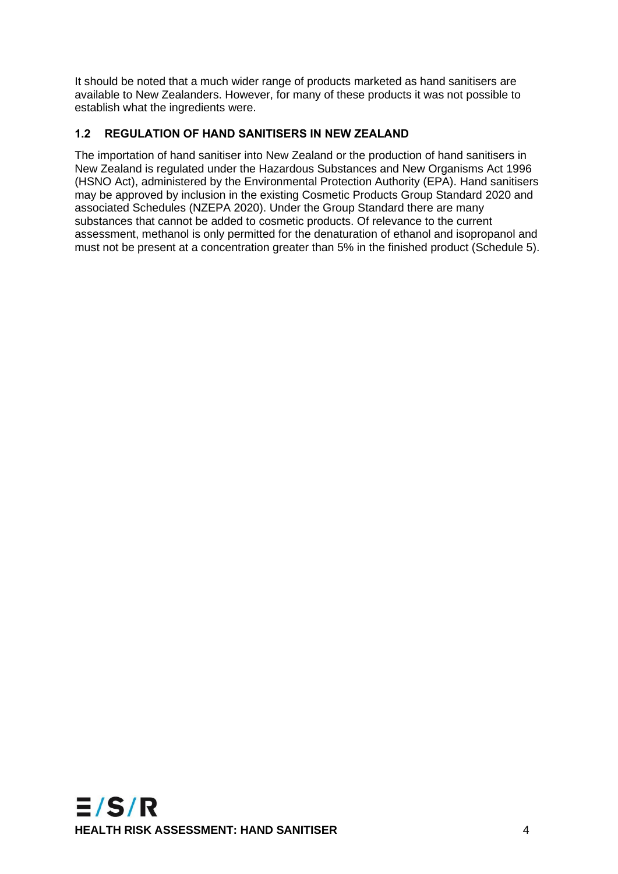It should be noted that a much wider range of products marketed as hand sanitisers are available to New Zealanders. However, for many of these products it was not possible to establish what the ingredients were.

### <span id="page-8-0"></span>**1.2 REGULATION OF HAND SANITISERS IN NEW ZEALAND**

The importation of hand sanitiser into New Zealand or the production of hand sanitisers in New Zealand is regulated under the Hazardous Substances and New Organisms Act 1996 (HSNO Act), administered by the Environmental Protection Authority (EPA). Hand sanitisers may be approved by inclusion in the existing Cosmetic Products Group Standard 2020 and associated Schedules (NZEPA 2020). Under the Group Standard there are many substances that cannot be added to cosmetic products. Of relevance to the current assessment, methanol is only permitted for the denaturation of ethanol and isopropanol and must not be present at a concentration greater than 5% in the finished product (Schedule 5).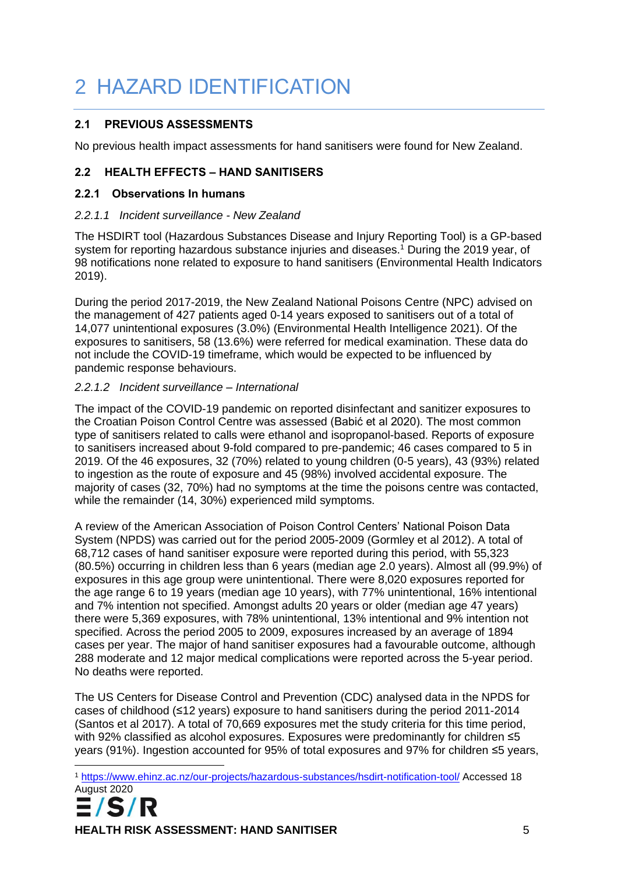# <span id="page-9-0"></span>2 HAZARD IDENTIFICATION

#### <span id="page-9-1"></span>**2.1 PREVIOUS ASSESSMENTS**

No previous health impact assessments for hand sanitisers were found for New Zealand.

### <span id="page-9-2"></span>**2.2 HEALTH EFFECTS – HAND SANITISERS**

#### <span id="page-9-3"></span>**2.2.1 Observations In humans**

#### *2.2.1.1 Incident surveillance - New Zealand*

The HSDIRT tool (Hazardous Substances Disease and Injury Reporting Tool) is a GP-based system for reporting hazardous substance injuries and diseases.<sup>1</sup> During the 2019 year, of 98 notifications none related to exposure to hand sanitisers (Environmental Health Indicators 2019).

During the period 2017-2019, the New Zealand National Poisons Centre (NPC) advised on the management of 427 patients aged 0-14 years exposed to sanitisers out of a total of 14,077 unintentional exposures (3.0%) (Environmental Health Intelligence 2021). Of the exposures to sanitisers, 58 (13.6%) were referred for medical examination. These data do not include the COVID-19 timeframe, which would be expected to be influenced by pandemic response behaviours.

#### *2.2.1.2 Incident surveillance – International*

The impact of the COVID-19 pandemic on reported disinfectant and sanitizer exposures to the Croatian Poison Control Centre was assessed (Babić et al 2020). The most common type of sanitisers related to calls were ethanol and isopropanol-based. Reports of exposure to sanitisers increased about 9-fold compared to pre-pandemic; 46 cases compared to 5 in 2019. Of the 46 exposures, 32 (70%) related to young children (0-5 years), 43 (93%) related to ingestion as the route of exposure and 45 (98%) involved accidental exposure. The majority of cases (32, 70%) had no symptoms at the time the poisons centre was contacted, while the remainder (14, 30%) experienced mild symptoms.

A review of the American Association of Poison Control Centers' National Poison Data System (NPDS) was carried out for the period 2005-2009 (Gormley et al 2012). A total of 68,712 cases of hand sanitiser exposure were reported during this period, with 55,323 (80.5%) occurring in children less than 6 years (median age 2.0 years). Almost all (99.9%) of exposures in this age group were unintentional. There were 8,020 exposures reported for the age range 6 to 19 years (median age 10 years), with 77% unintentional, 16% intentional and 7% intention not specified. Amongst adults 20 years or older (median age 47 years) there were 5,369 exposures, with 78% unintentional, 13% intentional and 9% intention not specified. Across the period 2005 to 2009, exposures increased by an average of 1894 cases per year. The major of hand sanitiser exposures had a favourable outcome, although 288 moderate and 12 major medical complications were reported across the 5-year period. No deaths were reported.

The US Centers for Disease Control and Prevention (CDC) analysed data in the NPDS for cases of childhood (≤12 years) exposure to hand sanitisers during the period 2011-2014 (Santos et al 2017). A total of 70,669 exposures met the study criteria for this time period, with 92% classified as alcohol exposures. Exposures were predominantly for children ≤5 years (91%). Ingestion accounted for 95% of total exposures and 97% for children ≤5 years,

<sup>1</sup> <https://www.ehinz.ac.nz/our-projects/hazardous-substances/hsdirt-notification-tool/> Accessed 18 August 2020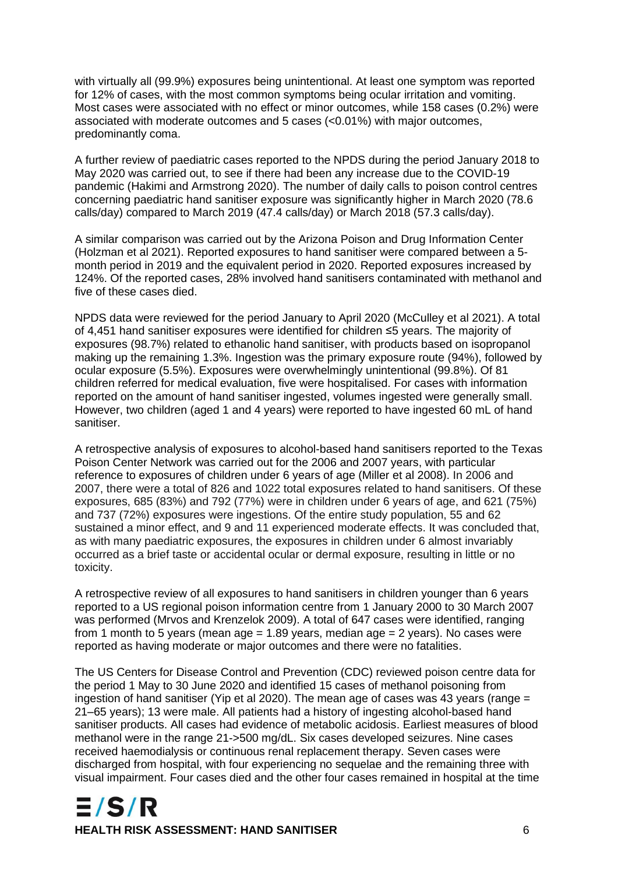with virtually all (99.9%) exposures being unintentional. At least one symptom was reported for 12% of cases, with the most common symptoms being ocular irritation and vomiting. Most cases were associated with no effect or minor outcomes, while 158 cases (0.2%) were associated with moderate outcomes and 5 cases (<0.01%) with major outcomes, predominantly coma.

A further review of paediatric cases reported to the NPDS during the period January 2018 to May 2020 was carried out, to see if there had been any increase due to the COVID-19 pandemic (Hakimi and Armstrong 2020). The number of daily calls to poison control centres concerning paediatric hand sanitiser exposure was significantly higher in March 2020 (78.6 calls/day) compared to March 2019 (47.4 calls/day) or March 2018 (57.3 calls/day).

A similar comparison was carried out by the Arizona Poison and Drug Information Center (Holzman et al 2021). Reported exposures to hand sanitiser were compared between a 5 month period in 2019 and the equivalent period in 2020. Reported exposures increased by 124%. Of the reported cases, 28% involved hand sanitisers contaminated with methanol and five of these cases died.

NPDS data were reviewed for the period January to April 2020 (McCulley et al 2021). A total of 4,451 hand sanitiser exposures were identified for children ≤5 years. The majority of exposures (98.7%) related to ethanolic hand sanitiser, with products based on isopropanol making up the remaining 1.3%. Ingestion was the primary exposure route (94%), followed by ocular exposure (5.5%). Exposures were overwhelmingly unintentional (99.8%). Of 81 children referred for medical evaluation, five were hospitalised. For cases with information reported on the amount of hand sanitiser ingested, volumes ingested were generally small. However, two children (aged 1 and 4 years) were reported to have ingested 60 mL of hand sanitiser.

A retrospective analysis of exposures to alcohol-based hand sanitisers reported to the Texas Poison Center Network was carried out for the 2006 and 2007 years, with particular reference to exposures of children under 6 years of age (Miller et al 2008). In 2006 and 2007, there were a total of 826 and 1022 total exposures related to hand sanitisers. Of these exposures, 685 (83%) and 792 (77%) were in children under 6 years of age, and 621 (75%) and 737 (72%) exposures were ingestions. Of the entire study population, 55 and 62 sustained a minor effect, and 9 and 11 experienced moderate effects. It was concluded that, as with many paediatric exposures, the exposures in children under 6 almost invariably occurred as a brief taste or accidental ocular or dermal exposure, resulting in little or no toxicity.

A retrospective review of all exposures to hand sanitisers in children younger than 6 years reported to a US regional poison information centre from 1 January 2000 to 30 March 2007 was performed (Mrvos and Krenzelok 2009). A total of 647 cases were identified, ranging from 1 month to 5 years (mean age  $= 1.89$  years, median age  $= 2$  years). No cases were reported as having moderate or major outcomes and there were no fatalities.

The US Centers for Disease Control and Prevention (CDC) reviewed poison centre data for the period 1 May to 30 June 2020 and identified 15 cases of methanol poisoning from ingestion of hand sanitiser (Yip et al 2020). The mean age of cases was 43 years (range = 21–65 years); 13 were male. All patients had a history of ingesting alcohol-based hand sanitiser products. All cases had evidence of metabolic acidosis. Earliest measures of blood methanol were in the range 21->500 mg/dL. Six cases developed seizures. Nine cases received haemodialysis or continuous renal replacement therapy. Seven cases were discharged from hospital, with four experiencing no sequelae and the remaining three with visual impairment. Four cases died and the other four cases remained in hospital at the time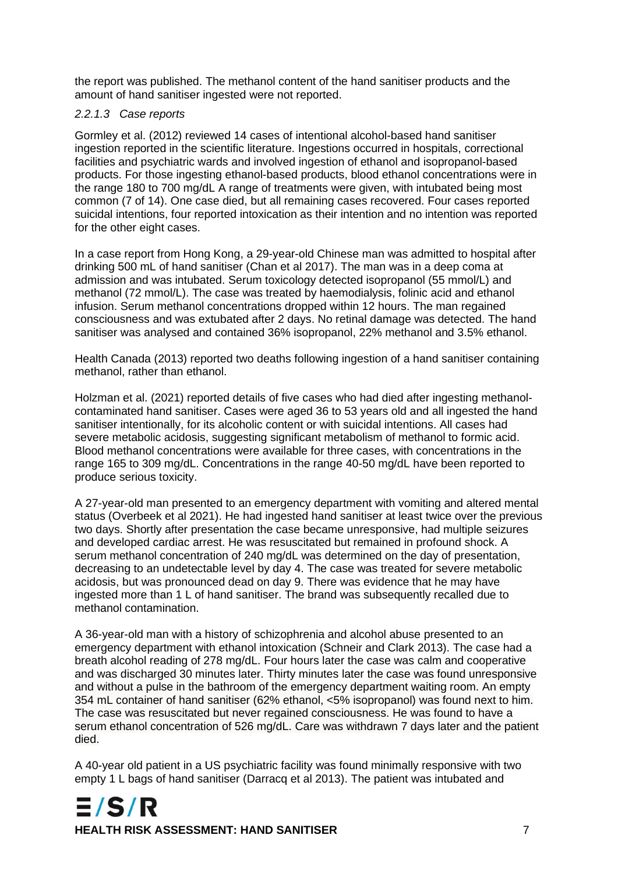the report was published. The methanol content of the hand sanitiser products and the amount of hand sanitiser ingested were not reported.

#### *2.2.1.3 Case reports*

Gormley et al. (2012) reviewed 14 cases of intentional alcohol-based hand sanitiser ingestion reported in the scientific literature. Ingestions occurred in hospitals, correctional facilities and psychiatric wards and involved ingestion of ethanol and isopropanol-based products. For those ingesting ethanol-based products, blood ethanol concentrations were in the range 180 to 700 mg/dL A range of treatments were given, with intubated being most common (7 of 14). One case died, but all remaining cases recovered. Four cases reported suicidal intentions, four reported intoxication as their intention and no intention was reported for the other eight cases.

In a case report from Hong Kong, a 29-year-old Chinese man was admitted to hospital after drinking 500 mL of hand sanitiser (Chan et al 2017). The man was in a deep coma at admission and was intubated. Serum toxicology detected isopropanol (55 mmol/L) and methanol (72 mmol/L). The case was treated by haemodialysis, folinic acid and ethanol infusion. Serum methanol concentrations dropped within 12 hours. The man regained consciousness and was extubated after 2 days. No retinal damage was detected. The hand sanitiser was analysed and contained 36% isopropanol, 22% methanol and 3.5% ethanol.

Health Canada (2013) reported two deaths following ingestion of a hand sanitiser containing methanol, rather than ethanol.

Holzman et al. (2021) reported details of five cases who had died after ingesting methanolcontaminated hand sanitiser. Cases were aged 36 to 53 years old and all ingested the hand sanitiser intentionally, for its alcoholic content or with suicidal intentions. All cases had severe metabolic acidosis, suggesting significant metabolism of methanol to formic acid. Blood methanol concentrations were available for three cases, with concentrations in the range 165 to 309 mg/dL. Concentrations in the range 40-50 mg/dL have been reported to produce serious toxicity.

A 27-year-old man presented to an emergency department with vomiting and altered mental status (Overbeek et al 2021). He had ingested hand sanitiser at least twice over the previous two days. Shortly after presentation the case became unresponsive, had multiple seizures and developed cardiac arrest. He was resuscitated but remained in profound shock. A serum methanol concentration of 240 mg/dL was determined on the day of presentation, decreasing to an undetectable level by day 4. The case was treated for severe metabolic acidosis, but was pronounced dead on day 9. There was evidence that he may have ingested more than 1 L of hand sanitiser. The brand was subsequently recalled due to methanol contamination.

A 36-year-old man with a history of schizophrenia and alcohol abuse presented to an emergency department with ethanol intoxication (Schneir and Clark 2013). The case had a breath alcohol reading of 278 mg/dL. Four hours later the case was calm and cooperative and was discharged 30 minutes later. Thirty minutes later the case was found unresponsive and without a pulse in the bathroom of the emergency department waiting room. An empty 354 mL container of hand sanitiser (62% ethanol, <5% isopropanol) was found next to him. The case was resuscitated but never regained consciousness. He was found to have a serum ethanol concentration of 526 mg/dL. Care was withdrawn 7 days later and the patient died.

A 40-year old patient in a US psychiatric facility was found minimally responsive with two empty 1 L bags of hand sanitiser (Darracq et al 2013). The patient was intubated and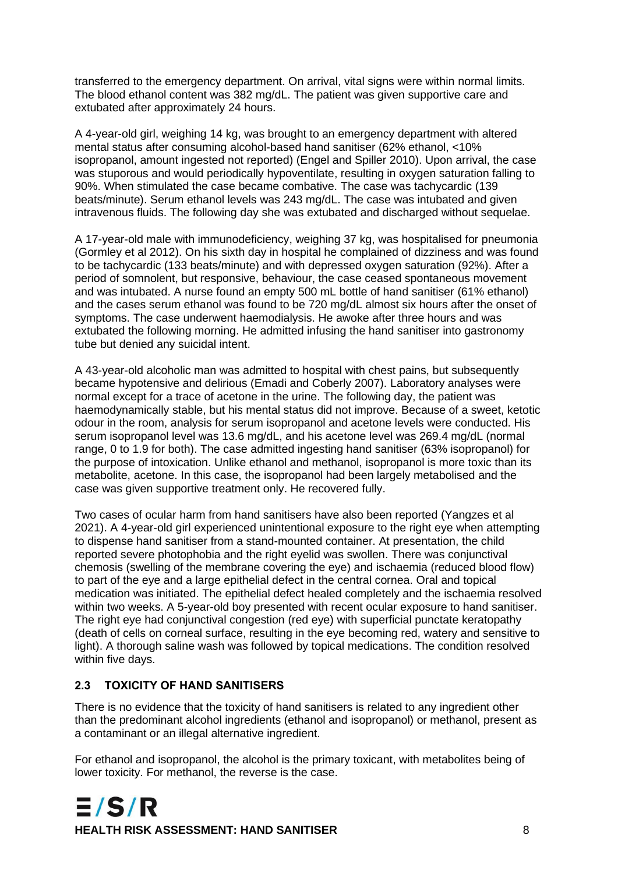transferred to the emergency department. On arrival, vital signs were within normal limits. The blood ethanol content was 382 mg/dL. The patient was given supportive care and extubated after approximately 24 hours.

A 4-year-old girl, weighing 14 kg, was brought to an emergency department with altered mental status after consuming alcohol-based hand sanitiser (62% ethanol, <10% isopropanol, amount ingested not reported) (Engel and Spiller 2010). Upon arrival, the case was stuporous and would periodically hypoventilate, resulting in oxygen saturation falling to 90%. When stimulated the case became combative. The case was tachycardic (139 beats/minute). Serum ethanol levels was 243 mg/dL. The case was intubated and given intravenous fluids. The following day she was extubated and discharged without sequelae.

A 17-year-old male with immunodeficiency, weighing 37 kg, was hospitalised for pneumonia (Gormley et al 2012). On his sixth day in hospital he complained of dizziness and was found to be tachycardic (133 beats/minute) and with depressed oxygen saturation (92%). After a period of somnolent, but responsive, behaviour, the case ceased spontaneous movement and was intubated. A nurse found an empty 500 mL bottle of hand sanitiser (61% ethanol) and the cases serum ethanol was found to be 720 mg/dL almost six hours after the onset of symptoms. The case underwent haemodialysis. He awoke after three hours and was extubated the following morning. He admitted infusing the hand sanitiser into gastronomy tube but denied any suicidal intent.

A 43-year-old alcoholic man was admitted to hospital with chest pains, but subsequently became hypotensive and delirious (Emadi and Coberly 2007). Laboratory analyses were normal except for a trace of acetone in the urine. The following day, the patient was haemodynamically stable, but his mental status did not improve. Because of a sweet, ketotic odour in the room, analysis for serum isopropanol and acetone levels were conducted. His serum isopropanol level was 13.6 mg/dL, and his acetone level was 269.4 mg/dL (normal range, 0 to 1.9 for both). The case admitted ingesting hand sanitiser (63% isopropanol) for the purpose of intoxication. Unlike ethanol and methanol, isopropanol is more toxic than its metabolite, acetone. In this case, the isopropanol had been largely metabolised and the case was given supportive treatment only. He recovered fully.

Two cases of ocular harm from hand sanitisers have also been reported (Yangzes et al 2021). A 4-year-old girl experienced unintentional exposure to the right eye when attempting to dispense hand sanitiser from a stand-mounted container. At presentation, the child reported severe photophobia and the right eyelid was swollen. There was conjunctival chemosis (swelling of the membrane covering the eye) and ischaemia (reduced blood flow) to part of the eye and a large epithelial defect in the central cornea. Oral and topical medication was initiated. The epithelial defect healed completely and the ischaemia resolved within two weeks. A 5-year-old boy presented with recent ocular exposure to hand sanitiser. The right eye had conjunctival congestion (red eye) with superficial punctate keratopathy (death of cells on corneal surface, resulting in the eye becoming red, watery and sensitive to light). A thorough saline wash was followed by topical medications. The condition resolved within five days.

#### <span id="page-12-0"></span>**2.3 TOXICITY OF HAND SANITISERS**

There is no evidence that the toxicity of hand sanitisers is related to any ingredient other than the predominant alcohol ingredients (ethanol and isopropanol) or methanol, present as a contaminant or an illegal alternative ingredient.

For ethanol and isopropanol, the alcohol is the primary toxicant, with metabolites being of lower toxicity. For methanol, the reverse is the case.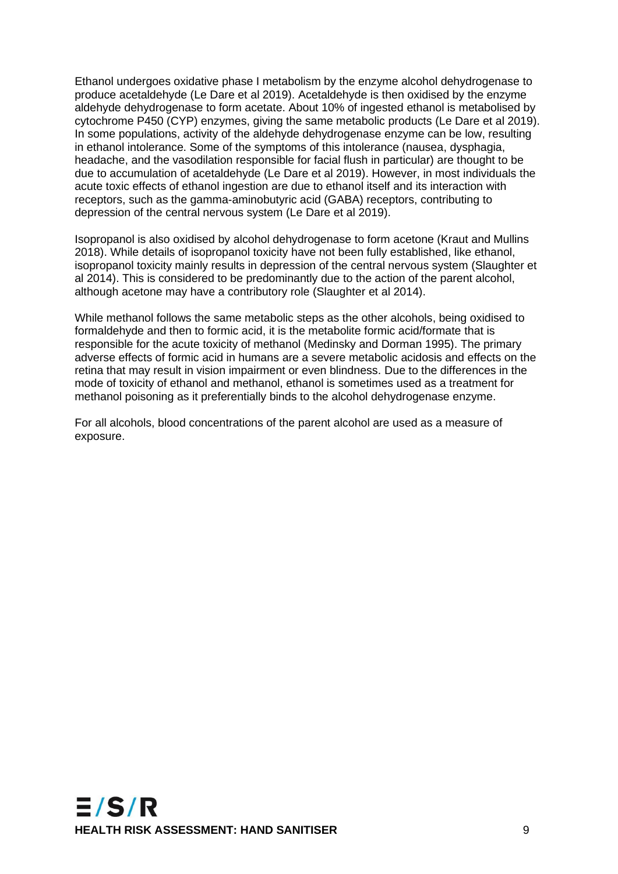Ethanol undergoes oxidative phase I metabolism by the enzyme alcohol dehydrogenase to produce acetaldehyde (Le Dare et al 2019). Acetaldehyde is then oxidised by the enzyme aldehyde dehydrogenase to form acetate. About 10% of ingested ethanol is metabolised by cytochrome P450 (CYP) enzymes, giving the same metabolic products (Le Dare et al 2019). In some populations, activity of the aldehyde dehydrogenase enzyme can be low, resulting in ethanol intolerance. Some of the symptoms of this intolerance (nausea, dysphagia, headache, and the vasodilation responsible for facial flush in particular) are thought to be due to accumulation of acetaldehyde (Le Dare et al 2019). However, in most individuals the acute toxic effects of ethanol ingestion are due to ethanol itself and its interaction with receptors, such as the gamma-aminobutyric acid (GABA) receptors, contributing to depression of the central nervous system (Le Dare et al 2019).

Isopropanol is also oxidised by alcohol dehydrogenase to form acetone (Kraut and Mullins 2018). While details of isopropanol toxicity have not been fully established, like ethanol, isopropanol toxicity mainly results in depression of the central nervous system (Slaughter et al 2014). This is considered to be predominantly due to the action of the parent alcohol, although acetone may have a contributory role (Slaughter et al 2014).

While methanol follows the same metabolic steps as the other alcohols, being oxidised to formaldehyde and then to formic acid, it is the metabolite formic acid/formate that is responsible for the acute toxicity of methanol (Medinsky and Dorman 1995). The primary adverse effects of formic acid in humans are a severe metabolic acidosis and effects on the retina that may result in vision impairment or even blindness. Due to the differences in the mode of toxicity of ethanol and methanol, ethanol is sometimes used as a treatment for methanol poisoning as it preferentially binds to the alcohol dehydrogenase enzyme.

For all alcohols, blood concentrations of the parent alcohol are used as a measure of exposure.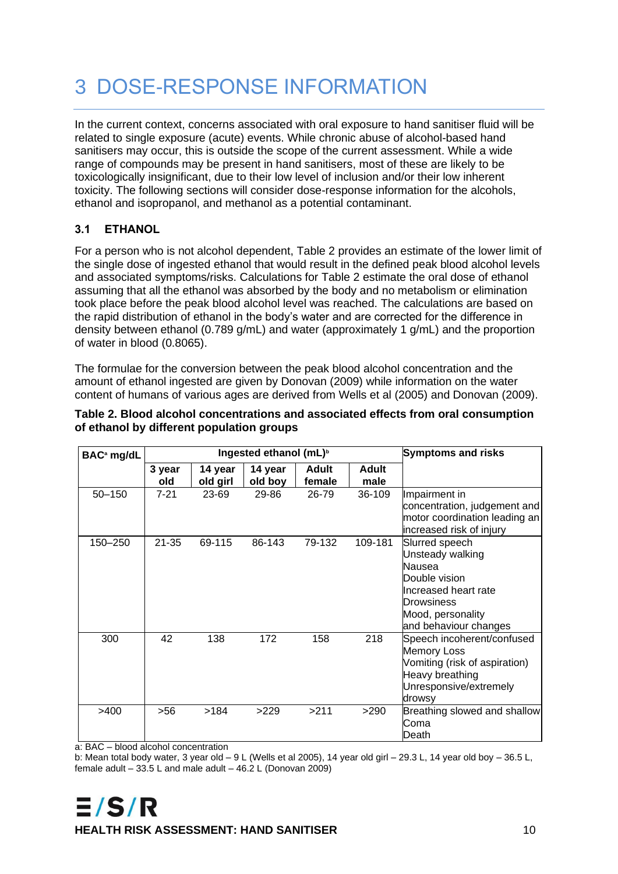# <span id="page-14-0"></span>3 DOSE-RESPONSE INFORMATION

In the current context, concerns associated with oral exposure to hand sanitiser fluid will be related to single exposure (acute) events. While chronic abuse of alcohol-based hand sanitisers may occur, this is outside the scope of the current assessment. While a wide range of compounds may be present in hand sanitisers, most of these are likely to be toxicologically insignificant, due to their low level of inclusion and/or their low inherent toxicity. The following sections will consider dose-response information for the alcohols, ethanol and isopropanol, and methanol as a potential contaminant.

### <span id="page-14-1"></span>**3.1 ETHANOL**

For a person who is not alcohol dependent, Table 2 provides an estimate of the lower limit of the single dose of ingested ethanol that would result in the defined peak blood alcohol levels and associated symptoms/risks. Calculations for Table 2 estimate the oral dose of ethanol assuming that all the ethanol was absorbed by the body and no metabolism or elimination took place before the peak blood alcohol level was reached. The calculations are based on the rapid distribution of ethanol in the body's water and are corrected for the difference in density between ethanol (0.789 g/mL) and water (approximately 1 g/mL) and the proportion of water in blood (0.8065).

The formulae for the conversion between the peak blood alcohol concentration and the amount of ethanol ingested are given by Donovan (2009) while information on the water content of humans of various ages are derived from Wells et al (2005) and Donovan (2009).

| BAC <sup>a</sup> mg/dL | Ingested ethanol (mL) <sup>b</sup> |                     |                    |                        |                      | <b>Symptoms and risks</b>                                                                                                                         |  |
|------------------------|------------------------------------|---------------------|--------------------|------------------------|----------------------|---------------------------------------------------------------------------------------------------------------------------------------------------|--|
|                        | 3 year<br>old                      | 14 year<br>old girl | 14 year<br>old boy | <b>Adult</b><br>female | <b>Adult</b><br>male |                                                                                                                                                   |  |
| $50 - 150$             | $7 - 21$                           | 23-69               | 29-86              | 26-79                  | 36-109               | Impairment in<br>concentration, judgement and<br>motor coordination leading an<br>increased risk of injury                                        |  |
| 150-250                | $21 - 35$                          | 69-115              | 86-143             | 79-132                 | 109-181              | Slurred speech<br>Unsteady walking<br>Nausea<br>Double vision<br>Increased heart rate<br>Drowsiness<br>Mood, personality<br>and behaviour changes |  |
| 300                    | 42                                 | 138                 | 172                | 158                    | 218                  | Speech incoherent/confused<br><b>Memory Loss</b><br>Vomiting (risk of aspiration)<br>Heavy breathing<br>Unresponsive/extremely<br>drowsy          |  |
| >400                   | >56                                | >184                | >229               | >211                   | >290                 | Breathing slowed and shallow<br>Coma<br>Death                                                                                                     |  |

#### <span id="page-14-2"></span>**Table 2. Blood alcohol concentrations and associated effects from oral consumption of ethanol by different population groups**

a: BAC – blood alcohol concentration

b: Mean total body water, 3 year old – 9 L (Wells et al 2005), 14 year old girl – 29.3 L, 14 year old boy – 36.5 L, female adult  $-33.5$  L and male adult  $-46.2$  L (Donovan 2009)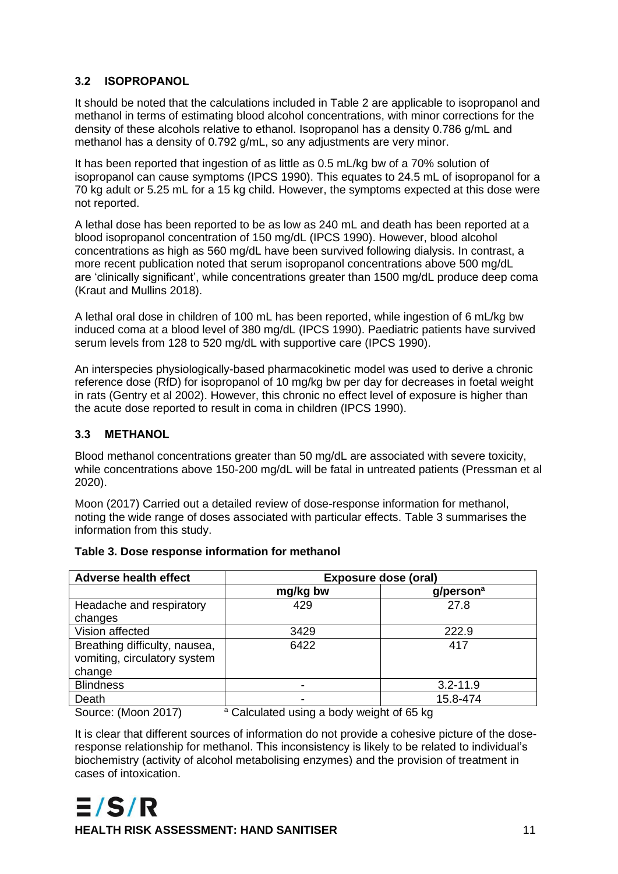### <span id="page-15-0"></span>**3.2 ISOPROPANOL**

It should be noted that the calculations included in Table 2 are applicable to isopropanol and methanol in terms of estimating blood alcohol concentrations, with minor corrections for the density of these alcohols relative to ethanol. Isopropanol has a density 0.786 g/mL and methanol has a density of 0.792 g/mL, so any adjustments are very minor.

It has been reported that ingestion of as little as 0.5 mL/kg bw of a 70% solution of isopropanol can cause symptoms (IPCS 1990). This equates to 24.5 mL of isopropanol for a 70 kg adult or 5.25 mL for a 15 kg child. However, the symptoms expected at this dose were not reported.

A lethal dose has been reported to be as low as 240 mL and death has been reported at a blood isopropanol concentration of 150 mg/dL (IPCS 1990). However, blood alcohol concentrations as high as 560 mg/dL have been survived following dialysis. In contrast, a more recent publication noted that serum isopropanol concentrations above 500 mg/dL are 'clinically significant', while concentrations greater than 1500 mg/dL produce deep coma (Kraut and Mullins 2018).

A lethal oral dose in children of 100 mL has been reported, while ingestion of 6 mL/kg bw induced coma at a blood level of 380 mg/dL (IPCS 1990). Paediatric patients have survived serum levels from 128 to 520 mg/dL with supportive care (IPCS 1990).

An interspecies physiologically-based pharmacokinetic model was used to derive a chronic reference dose (RfD) for isopropanol of 10 mg/kg bw per day for decreases in foetal weight in rats (Gentry et al 2002). However, this chronic no effect level of exposure is higher than the acute dose reported to result in coma in children (IPCS 1990).

### <span id="page-15-1"></span>**3.3 METHANOL**

Blood methanol concentrations greater than 50 mg/dL are associated with severe toxicity, while concentrations above 150-200 mg/dL will be fatal in untreated patients (Pressman et al 2020).

Moon (2017) Carried out a detailed review of dose-response information for methanol, noting the wide range of doses associated with particular effects. Table 3 summarises the information from this study.

| <b>Adverse health effect</b>            | <b>Exposure dose (oral)</b> |                          |  |  |  |
|-----------------------------------------|-----------------------------|--------------------------|--|--|--|
|                                         | mg/kg bw                    | $g/$ person <sup>a</sup> |  |  |  |
| Headache and respiratory                | 429                         | 27.8                     |  |  |  |
| changes                                 |                             |                          |  |  |  |
| Vision affected                         | 3429                        | 222.9                    |  |  |  |
| Breathing difficulty, nausea,           | 6422                        | 417                      |  |  |  |
| vomiting, circulatory system            |                             |                          |  |  |  |
| change                                  |                             |                          |  |  |  |
| <b>Blindness</b>                        |                             | $3.2 - 11.9$             |  |  |  |
| Death                                   |                             | 15.8-474                 |  |  |  |
| $\sqrt{2}$<br>.<br>$\sim$ $\sim$ $\sim$ |                             |                          |  |  |  |

#### <span id="page-15-2"></span>**Table 3. Dose response information for methanol**

Source: (Moon 2017) <sup>a</sup> Calculated using a body weight of 65 kg

It is clear that different sources of information do not provide a cohesive picture of the doseresponse relationship for methanol. This inconsistency is likely to be related to individual's biochemistry (activity of alcohol metabolising enzymes) and the provision of treatment in cases of intoxication.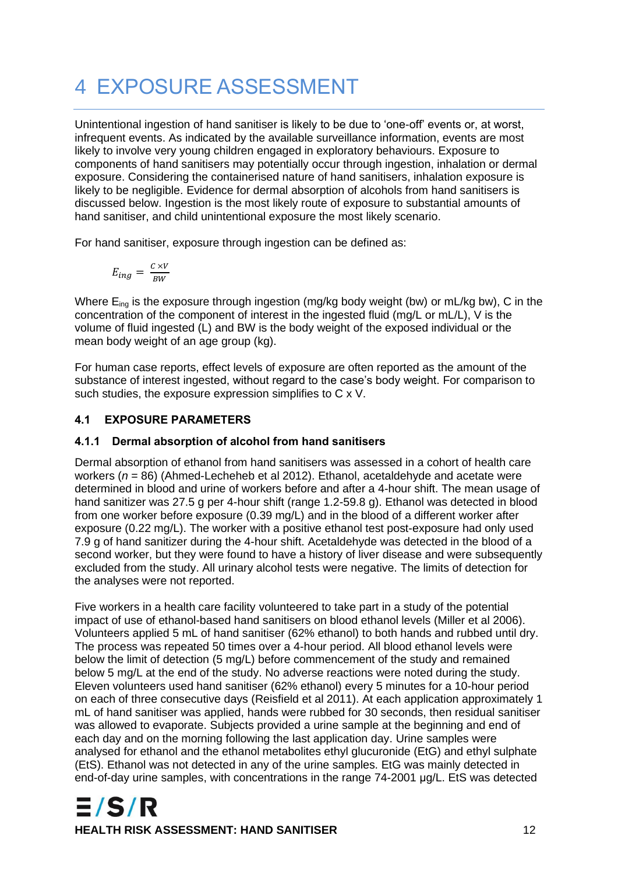# <span id="page-16-0"></span>4 EXPOSURE ASSESSMENT

Unintentional ingestion of hand sanitiser is likely to be due to 'one-off' events or, at worst, infrequent events. As indicated by the available surveillance information, events are most likely to involve very young children engaged in exploratory behaviours. Exposure to components of hand sanitisers may potentially occur through ingestion, inhalation or dermal exposure. Considering the containerised nature of hand sanitisers, inhalation exposure is likely to be negligible. Evidence for dermal absorption of alcohols from hand sanitisers is discussed below. Ingestion is the most likely route of exposure to substantial amounts of hand sanitiser, and child unintentional exposure the most likely scenario.

For hand sanitiser, exposure through ingestion can be defined as:

$$
E_{ing} = \frac{c \times v}{BW}
$$

Where  $E_{\text{inq}}$  is the exposure through ingestion (mg/kg body weight (bw) or mL/kg bw), C in the concentration of the component of interest in the ingested fluid (mg/L or mL/L), V is the volume of fluid ingested (L) and BW is the body weight of the exposed individual or the mean body weight of an age group (kg).

For human case reports, effect levels of exposure are often reported as the amount of the substance of interest ingested, without regard to the case's body weight. For comparison to such studies, the exposure expression simplifies to C x V.

### <span id="page-16-1"></span>**4.1 EXPOSURE PARAMETERS**

### <span id="page-16-2"></span>**4.1.1 Dermal absorption of alcohol from hand sanitisers**

Dermal absorption of ethanol from hand sanitisers was assessed in a cohort of health care workers (*n* = 86) (Ahmed-Lecheheb et al 2012). Ethanol, acetaldehyde and acetate were determined in blood and urine of workers before and after a 4-hour shift. The mean usage of hand sanitizer was 27.5 g per 4-hour shift (range 1.2-59.8 g). Ethanol was detected in blood from one worker before exposure (0.39 mg/L) and in the blood of a different worker after exposure (0.22 mg/L). The worker with a positive ethanol test post-exposure had only used 7.9 g of hand sanitizer during the 4-hour shift. Acetaldehyde was detected in the blood of a second worker, but they were found to have a history of liver disease and were subsequently excluded from the study. All urinary alcohol tests were negative. The limits of detection for the analyses were not reported.

Five workers in a health care facility volunteered to take part in a study of the potential impact of use of ethanol-based hand sanitisers on blood ethanol levels (Miller et al 2006). Volunteers applied 5 mL of hand sanitiser (62% ethanol) to both hands and rubbed until dry. The process was repeated 50 times over a 4-hour period. All blood ethanol levels were below the limit of detection (5 mg/L) before commencement of the study and remained below 5 mg/L at the end of the study. No adverse reactions were noted during the study. Eleven volunteers used hand sanitiser (62% ethanol) every 5 minutes for a 10-hour period on each of three consecutive days (Reisfield et al 2011). At each application approximately 1 mL of hand sanitiser was applied, hands were rubbed for 30 seconds, then residual sanitiser was allowed to evaporate. Subjects provided a urine sample at the beginning and end of each day and on the morning following the last application day. Urine samples were analysed for ethanol and the ethanol metabolites ethyl glucuronide (EtG) and ethyl sulphate (EtS). Ethanol was not detected in any of the urine samples. EtG was mainly detected in end-of-day urine samples, with concentrations in the range 74-2001 μg/L. EtS was detected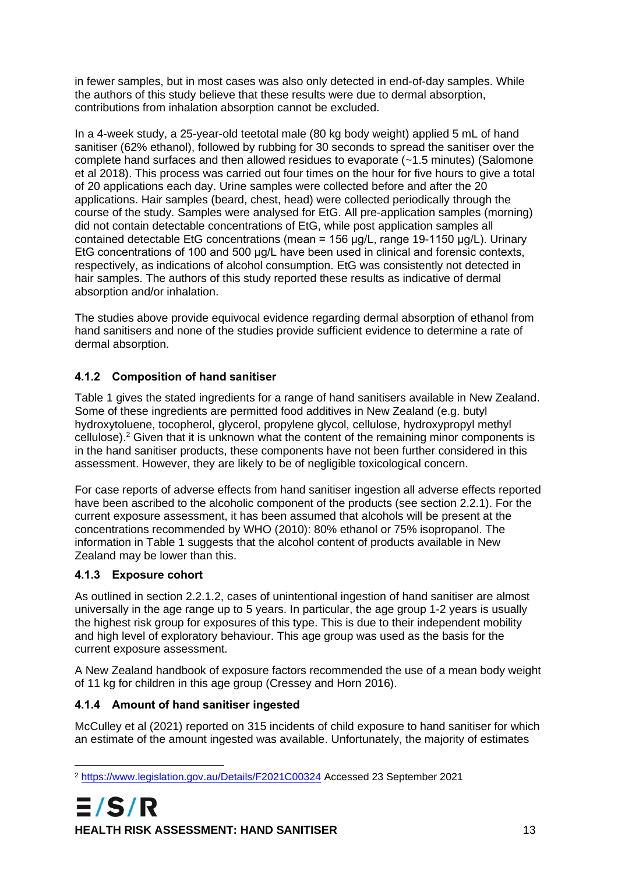in fewer samples, but in most cases was also only detected in end-of-day samples. While the authors of this study believe that these results were due to dermal absorption, contributions from inhalation absorption cannot be excluded.

In a 4-week study, a 25-year-old teetotal male (80 kg body weight) applied 5 mL of hand sanitiser (62% ethanol), followed by rubbing for 30 seconds to spread the sanitiser over the complete hand surfaces and then allowed residues to evaporate (~1.5 minutes) (Salomone et al 2018). This process was carried out four times on the hour for five hours to give a total of 20 applications each day. Urine samples were collected before and after the 20 applications. Hair samples (beard, chest, head) were collected periodically through the course of the study. Samples were analysed for EtG. All pre-application samples (morning) did not contain detectable concentrations of EtG, while post application samples all contained detectable EtG concentrations (mean = 156 μg/L, range 19-1150 μg/L). Urinary EtG concentrations of 100 and 500 μg/L have been used in clinical and forensic contexts, respectively, as indications of alcohol consumption. EtG was consistently not detected in hair samples. The authors of this study reported these results as indicative of dermal absorption and/or inhalation.

The studies above provide equivocal evidence regarding dermal absorption of ethanol from hand sanitisers and none of the studies provide sufficient evidence to determine a rate of dermal absorption.

### <span id="page-17-0"></span>**4.1.2 Composition of hand sanitiser**

Table 1 gives the stated ingredients for a range of hand sanitisers available in New Zealand. Some of these ingredients are permitted food additives in New Zealand (e.g. butyl hydroxytoluene, tocopherol, glycerol, propylene glycol, cellulose, hydroxypropyl methyl cellulose). <sup>2</sup> Given that it is unknown what the content of the remaining minor components is in the hand sanitiser products, these components have not been further considered in this assessment. However, they are likely to be of negligible toxicological concern.

For case reports of adverse effects from hand sanitiser ingestion all adverse effects reported have been ascribed to the alcoholic component of the products (see section 2.2.1). For the current exposure assessment, it has been assumed that alcohols will be present at the concentrations recommended by WHO (2010): 80% ethanol or 75% isopropanol. The information in Table 1 suggests that the alcohol content of products available in New Zealand may be lower than this.

### <span id="page-17-1"></span>**4.1.3 Exposure cohort**

As outlined in section 2.2.1.2, cases of unintentional ingestion of hand sanitiser are almost universally in the age range up to 5 years. In particular, the age group 1-2 years is usually the highest risk group for exposures of this type. This is due to their independent mobility and high level of exploratory behaviour. This age group was used as the basis for the current exposure assessment.

A New Zealand handbook of exposure factors recommended the use of a mean body weight of 11 kg for children in this age group (Cressey and Horn 2016).

#### <span id="page-17-2"></span>**4.1.4 Amount of hand sanitiser ingested**

McCulley et al (2021) reported on 315 incidents of child exposure to hand sanitiser for which an estimate of the amount ingested was available. Unfortunately, the majority of estimates

<sup>2</sup> <https://www.legislation.gov.au/Details/F2021C00324> Accessed 23 September 2021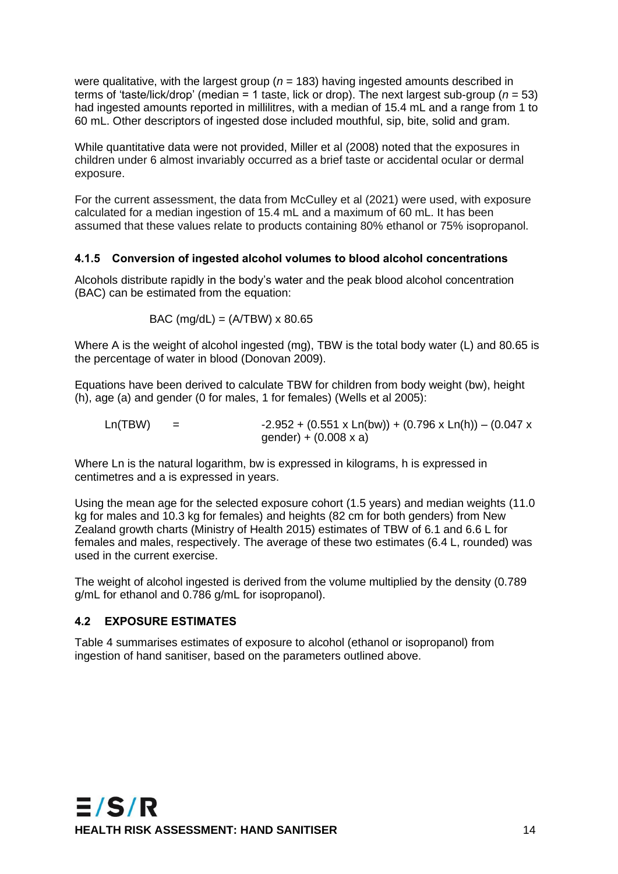were qualitative, with the largest group (*n* = 183) having ingested amounts described in terms of 'taste/lick/drop' (median = 1 taste, lick or drop). The next largest sub-group (*n* = 53) had ingested amounts reported in millilitres, with a median of 15.4 mL and a range from 1 to 60 mL. Other descriptors of ingested dose included mouthful, sip, bite, solid and gram.

While quantitative data were not provided, Miller et al (2008) noted that the exposures in children under 6 almost invariably occurred as a brief taste or accidental ocular or dermal exposure.

For the current assessment, the data from McCulley et al (2021) were used, with exposure calculated for a median ingestion of 15.4 mL and a maximum of 60 mL. It has been assumed that these values relate to products containing 80% ethanol or 75% isopropanol.

#### <span id="page-18-0"></span>**4.1.5 Conversion of ingested alcohol volumes to blood alcohol concentrations**

Alcohols distribute rapidly in the body's water and the peak blood alcohol concentration (BAC) can be estimated from the equation:

BAC (mg/dL) =  $(A/TBW) \times 80.65$ 

Where A is the weight of alcohol ingested (mg), TBW is the total body water (L) and 80.65 is the percentage of water in blood (Donovan 2009).

Equations have been derived to calculate TBW for children from body weight (bw), height (h), age (a) and gender (0 for males, 1 for females) (Wells et al 2005):

Ln(TBW) =  $-2.952 + (0.551 \times \text{Ln(bw)}) + (0.796 \times \text{Ln(b))} - (0.047 \times \text{Ln(bw)})$  $q$ ender) +  $(0.008 \times a)$ 

Where Ln is the natural logarithm, bw is expressed in kilograms, h is expressed in centimetres and a is expressed in years.

Using the mean age for the selected exposure cohort (1.5 years) and median weights (11.0 kg for males and 10.3 kg for females) and heights (82 cm for both genders) from New Zealand growth charts (Ministry of Health 2015) estimates of TBW of 6.1 and 6.6 L for females and males, respectively. The average of these two estimates (6.4 L, rounded) was used in the current exercise.

The weight of alcohol ingested is derived from the volume multiplied by the density (0.789 g/mL for ethanol and 0.786 g/mL for isopropanol).

#### <span id="page-18-1"></span>**4.2 EXPOSURE ESTIMATES**

Table 4 summarises estimates of exposure to alcohol (ethanol or isopropanol) from ingestion of hand sanitiser, based on the parameters outlined above.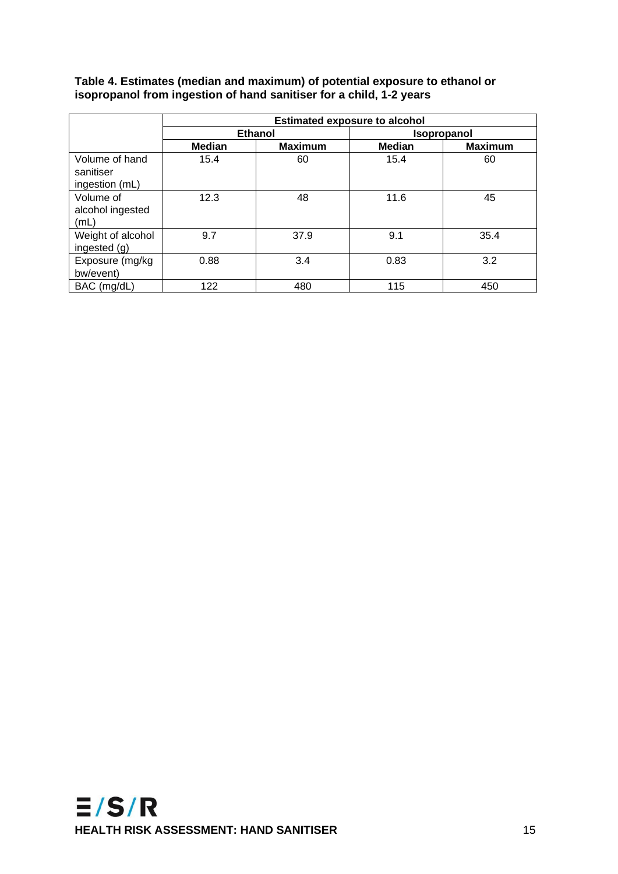#### <span id="page-19-0"></span>**Table 4. Estimates (median and maximum) of potential exposure to ethanol or isopropanol from ingestion of hand sanitiser for a child, 1-2 years**

|                                               | <b>Estimated exposure to alcohol</b> |                |                    |                |  |  |
|-----------------------------------------------|--------------------------------------|----------------|--------------------|----------------|--|--|
|                                               |                                      | <b>Ethanol</b> | <b>Isopropanol</b> |                |  |  |
|                                               | <b>Median</b>                        | <b>Maximum</b> | <b>Median</b>      | <b>Maximum</b> |  |  |
| Volume of hand<br>sanitiser<br>ingestion (mL) | 15.4                                 | 60             | 15.4               | 60             |  |  |
| Volume of<br>alcohol ingested<br>(mL)         | 12.3                                 | 48             | 11.6               | 45             |  |  |
| Weight of alcohol<br>ingested (g)             | 9.7                                  | 37.9           | 9.1                | 35.4           |  |  |
| Exposure (mg/kg<br>bw/event)                  | 0.88                                 | 3.4            | 0.83               | 3.2            |  |  |
| BAC (mg/dL)                                   | 122                                  | 480            | 115                | 450            |  |  |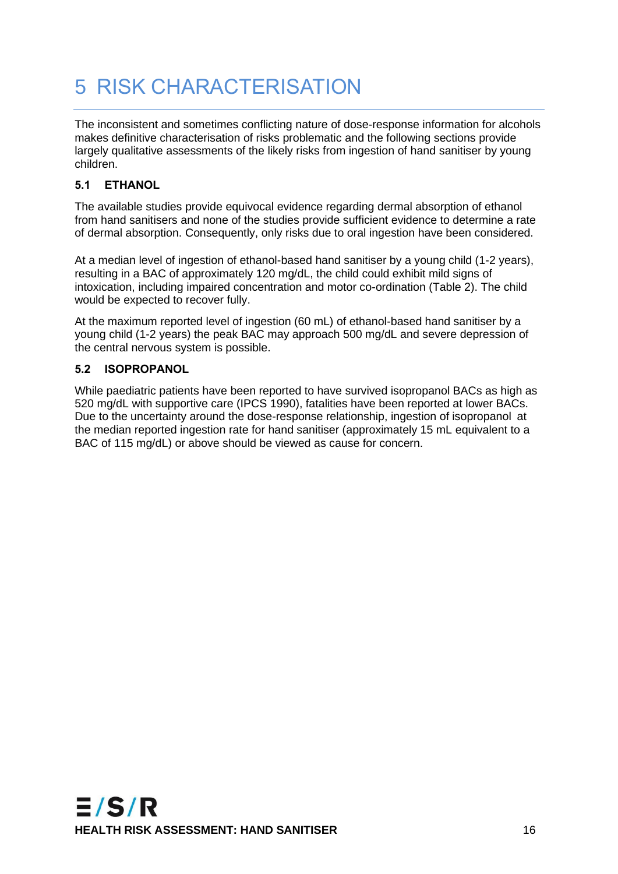# <span id="page-20-0"></span>5 RISK CHARACTERISATION

The inconsistent and sometimes conflicting nature of dose-response information for alcohols makes definitive characterisation of risks problematic and the following sections provide largely qualitative assessments of the likely risks from ingestion of hand sanitiser by young children.

### <span id="page-20-1"></span>**5.1 ETHANOL**

The available studies provide equivocal evidence regarding dermal absorption of ethanol from hand sanitisers and none of the studies provide sufficient evidence to determine a rate of dermal absorption. Consequently, only risks due to oral ingestion have been considered.

At a median level of ingestion of ethanol-based hand sanitiser by a young child (1-2 years), resulting in a BAC of approximately 120 mg/dL, the child could exhibit mild signs of intoxication, including impaired concentration and motor co-ordination (Table 2). The child would be expected to recover fully.

At the maximum reported level of ingestion (60 mL) of ethanol-based hand sanitiser by a young child (1-2 years) the peak BAC may approach 500 mg/dL and severe depression of the central nervous system is possible.

#### <span id="page-20-2"></span>**5.2 ISOPROPANOL**

While paediatric patients have been reported to have survived isopropanol BACs as high as 520 mg/dL with supportive care (IPCS 1990), fatalities have been reported at lower BACs. Due to the uncertainty around the dose-response relationship, ingestion of isopropanol at the median reported ingestion rate for hand sanitiser (approximately 15 mL equivalent to a BAC of 115 mg/dL) or above should be viewed as cause for concern.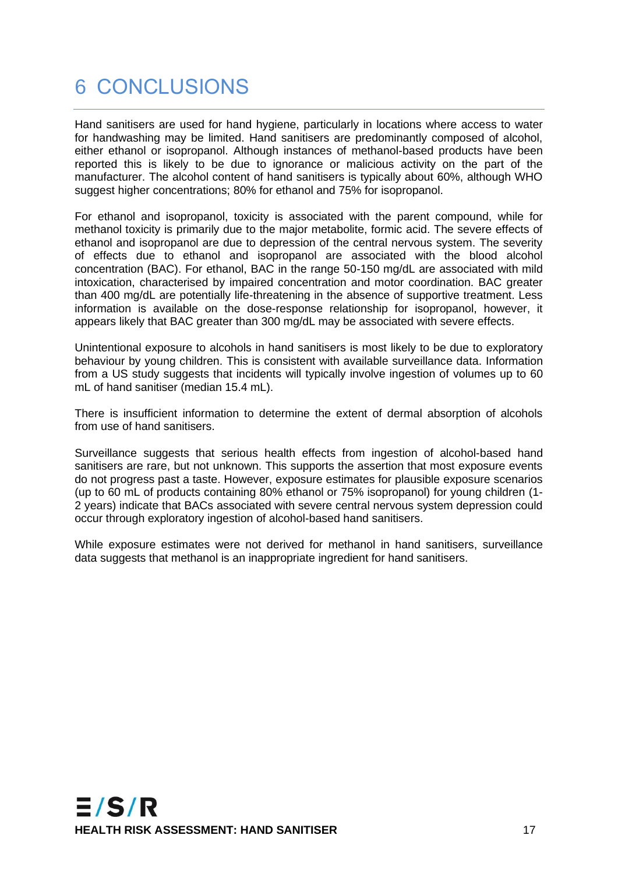## <span id="page-21-0"></span>6 CONCLUSIONS

Hand sanitisers are used for hand hygiene, particularly in locations where access to water for handwashing may be limited. Hand sanitisers are predominantly composed of alcohol, either ethanol or isopropanol. Although instances of methanol-based products have been reported this is likely to be due to ignorance or malicious activity on the part of the manufacturer. The alcohol content of hand sanitisers is typically about 60%, although WHO suggest higher concentrations; 80% for ethanol and 75% for isopropanol.

For ethanol and isopropanol, toxicity is associated with the parent compound, while for methanol toxicity is primarily due to the major metabolite, formic acid. The severe effects of ethanol and isopropanol are due to depression of the central nervous system. The severity of effects due to ethanol and isopropanol are associated with the blood alcohol concentration (BAC). For ethanol, BAC in the range 50-150 mg/dL are associated with mild intoxication, characterised by impaired concentration and motor coordination. BAC greater than 400 mg/dL are potentially life-threatening in the absence of supportive treatment. Less information is available on the dose-response relationship for isopropanol, however, it appears likely that BAC greater than 300 mg/dL may be associated with severe effects.

Unintentional exposure to alcohols in hand sanitisers is most likely to be due to exploratory behaviour by young children. This is consistent with available surveillance data. Information from a US study suggests that incidents will typically involve ingestion of volumes up to 60 mL of hand sanitiser (median 15.4 mL).

There is insufficient information to determine the extent of dermal absorption of alcohols from use of hand sanitisers.

Surveillance suggests that serious health effects from ingestion of alcohol-based hand sanitisers are rare, but not unknown. This supports the assertion that most exposure events do not progress past a taste. However, exposure estimates for plausible exposure scenarios (up to 60 mL of products containing 80% ethanol or 75% isopropanol) for young children (1- 2 years) indicate that BACs associated with severe central nervous system depression could occur through exploratory ingestion of alcohol-based hand sanitisers.

While exposure estimates were not derived for methanol in hand sanitisers, surveillance data suggests that methanol is an inappropriate ingredient for hand sanitisers.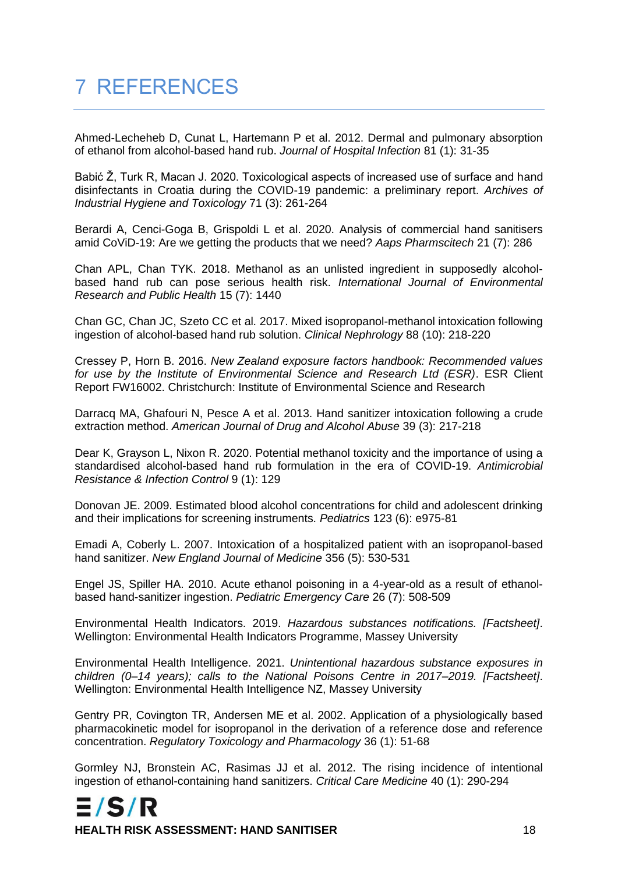# <span id="page-22-0"></span>7 REFERENCES

Ahmed-Lecheheb D, Cunat L, Hartemann P et al. 2012. Dermal and pulmonary absorption of ethanol from alcohol-based hand rub. *Journal of Hospital Infection* 81 (1): 31-35

Babić Ž, Turk R, Macan J. 2020. Toxicological aspects of increased use of surface and hand disinfectants in Croatia during the COVID-19 pandemic: a preliminary report. *Archives of Industrial Hygiene and Toxicology* 71 (3): 261-264

Berardi A, Cenci-Goga B, Grispoldi L et al. 2020. Analysis of commercial hand sanitisers amid CoViD-19: Are we getting the products that we need? *Aaps Pharmscitech* 21 (7): 286

Chan APL, Chan TYK. 2018. Methanol as an unlisted ingredient in supposedly alcoholbased hand rub can pose serious health risk. *International Journal of Environmental Research and Public Health* 15 (7): 1440

Chan GC, Chan JC, Szeto CC et al. 2017. Mixed isopropanol-methanol intoxication following ingestion of alcohol-based hand rub solution. *Clinical Nephrology* 88 (10): 218-220

Cressey P, Horn B. 2016. *New Zealand exposure factors handbook: Recommended values for use by the Institute of Environmental Science and Research Ltd (ESR)*. ESR Client Report FW16002. Christchurch: Institute of Environmental Science and Research

Darracq MA, Ghafouri N, Pesce A et al. 2013. Hand sanitizer intoxication following a crude extraction method. *American Journal of Drug and Alcohol Abuse* 39 (3): 217-218

Dear K, Grayson L, Nixon R. 2020. Potential methanol toxicity and the importance of using a standardised alcohol-based hand rub formulation in the era of COVID-19. *Antimicrobial Resistance & Infection Control* 9 (1): 129

Donovan JE. 2009. Estimated blood alcohol concentrations for child and adolescent drinking and their implications for screening instruments. *Pediatrics* 123 (6): e975-81

Emadi A, Coberly L. 2007. Intoxication of a hospitalized patient with an isopropanol-based hand sanitizer. *New England Journal of Medicine* 356 (5): 530-531

Engel JS, Spiller HA. 2010. Acute ethanol poisoning in a 4-year-old as a result of ethanolbased hand-sanitizer ingestion. *Pediatric Emergency Care* 26 (7): 508-509

Environmental Health Indicators. 2019. *Hazardous substances notifications. [Factsheet]*. Wellington: Environmental Health Indicators Programme, Massey University

Environmental Health Intelligence. 2021. *Unintentional hazardous substance exposures in children (0–14 years); calls to the National Poisons Centre in 2017–2019. [Factsheet]*. Wellington: Environmental Health Intelligence NZ, Massey University

Gentry PR, Covington TR, Andersen ME et al. 2002. Application of a physiologically based pharmacokinetic model for isopropanol in the derivation of a reference dose and reference concentration. *Regulatory Toxicology and Pharmacology* 36 (1): 51-68

Gormley NJ, Bronstein AC, Rasimas JJ et al. 2012. The rising incidence of intentional ingestion of ethanol-containing hand sanitizers. *Critical Care Medicine* 40 (1): 290-294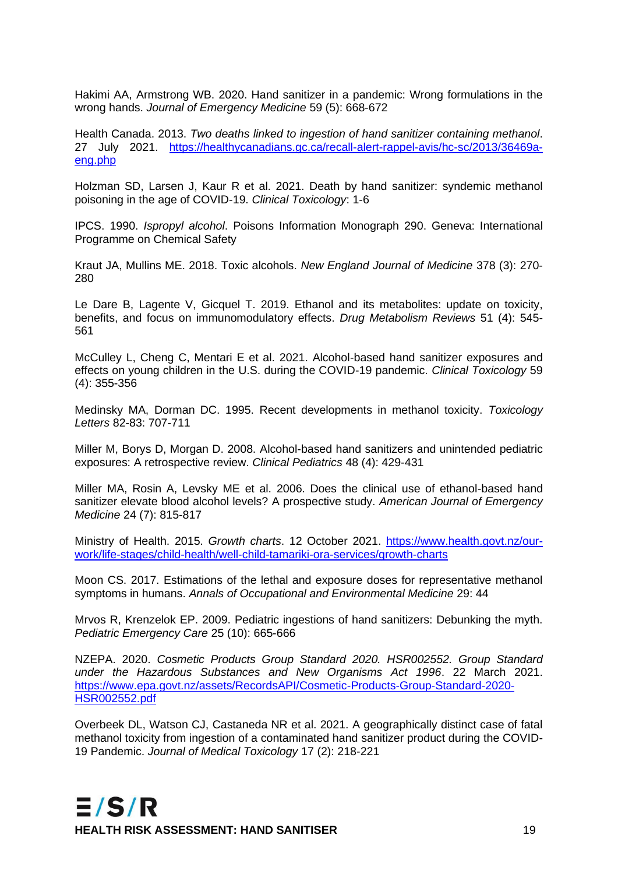Hakimi AA, Armstrong WB. 2020. Hand sanitizer in a pandemic: Wrong formulations in the wrong hands. *Journal of Emergency Medicine* 59 (5): 668-672

Health Canada. 2013. *Two deaths linked to ingestion of hand sanitizer containing methanol*. 27 July 2021. [https://healthycanadians.gc.ca/recall-alert-rappel-avis/hc-sc/2013/36469a](https://healthycanadians.gc.ca/recall-alert-rappel-avis/hc-sc/2013/36469a-eng.php)[eng.php](https://healthycanadians.gc.ca/recall-alert-rappel-avis/hc-sc/2013/36469a-eng.php)

Holzman SD, Larsen J, Kaur R et al. 2021. Death by hand sanitizer: syndemic methanol poisoning in the age of COVID-19. *Clinical Toxicology*: 1-6

IPCS. 1990. *Ispropyl alcohol*. Poisons Information Monograph 290. Geneva: International Programme on Chemical Safety

Kraut JA, Mullins ME. 2018. Toxic alcohols. *New England Journal of Medicine* 378 (3): 270- 280

Le Dare B, Lagente V, Gicquel T. 2019. Ethanol and its metabolites: update on toxicity, benefits, and focus on immunomodulatory effects. *Drug Metabolism Reviews* 51 (4): 545- 561

McCulley L, Cheng C, Mentari E et al. 2021. Alcohol-based hand sanitizer exposures and effects on young children in the U.S. during the COVID-19 pandemic. *Clinical Toxicology* 59 (4): 355-356

Medinsky MA, Dorman DC. 1995. Recent developments in methanol toxicity. *Toxicology Letters* 82-83: 707-711

Miller M, Borys D, Morgan D. 2008. Alcohol-based hand sanitizers and unintended pediatric exposures: A retrospective review. *Clinical Pediatrics* 48 (4): 429-431

Miller MA, Rosin A, Levsky ME et al. 2006. Does the clinical use of ethanol-based hand sanitizer elevate blood alcohol levels? A prospective study. *American Journal of Emergency Medicine* 24 (7): 815-817

Ministry of Health. 2015. *Growth charts*. 12 October 2021. [https://www.health.govt.nz/our](https://www.health.govt.nz/our-work/life-stages/child-health/well-child-tamariki-ora-services/growth-charts)[work/life-stages/child-health/well-child-tamariki-ora-services/growth-charts](https://www.health.govt.nz/our-work/life-stages/child-health/well-child-tamariki-ora-services/growth-charts)

Moon CS. 2017. Estimations of the lethal and exposure doses for representative methanol symptoms in humans. *Annals of Occupational and Environmental Medicine* 29: 44

Mrvos R, Krenzelok EP. 2009. Pediatric ingestions of hand sanitizers: Debunking the myth. *Pediatric Emergency Care* 25 (10): 665-666

NZEPA. 2020. *Cosmetic Products Group Standard 2020. HSR002552. Group Standard under the Hazardous Substances and New Organisms Act 1996*. 22 March 2021. [https://www.epa.govt.nz/assets/RecordsAPI/Cosmetic-Products-Group-Standard-2020-](https://www.epa.govt.nz/assets/RecordsAPI/Cosmetic-Products-Group-Standard-2020-HSR002552.pdf) [HSR002552.pdf](https://www.epa.govt.nz/assets/RecordsAPI/Cosmetic-Products-Group-Standard-2020-HSR002552.pdf)

Overbeek DL, Watson CJ, Castaneda NR et al. 2021. A geographically distinct case of fatal methanol toxicity from ingestion of a contaminated hand sanitizer product during the COVID-19 Pandemic. *Journal of Medical Toxicology* 17 (2): 218-221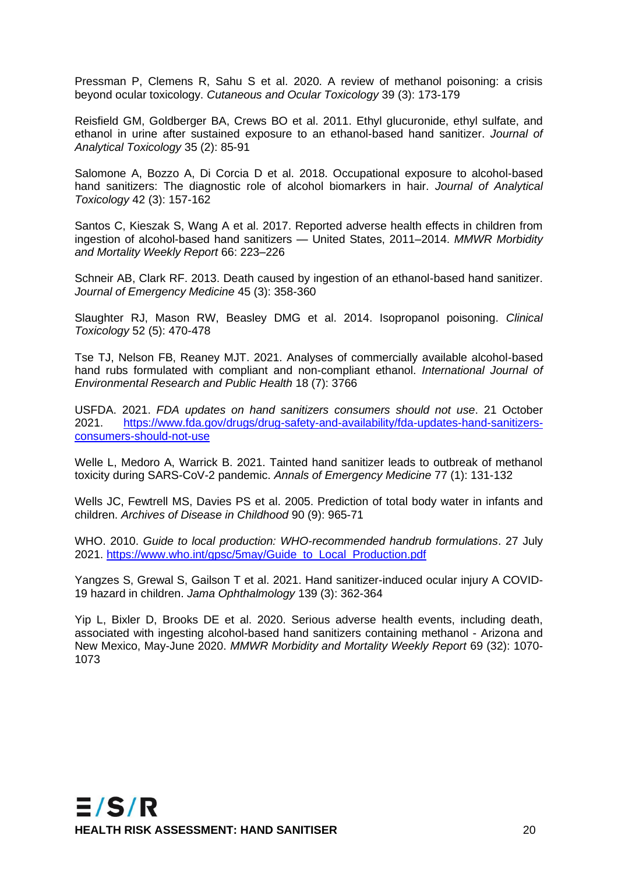Pressman P, Clemens R, Sahu S et al. 2020. A review of methanol poisoning: a crisis beyond ocular toxicology. *Cutaneous and Ocular Toxicology* 39 (3): 173-179

Reisfield GM, Goldberger BA, Crews BO et al. 2011. Ethyl glucuronide, ethyl sulfate, and ethanol in urine after sustained exposure to an ethanol-based hand sanitizer. *Journal of Analytical Toxicology* 35 (2): 85-91

Salomone A, Bozzo A, Di Corcia D et al. 2018. Occupational exposure to alcohol-based hand sanitizers: The diagnostic role of alcohol biomarkers in hair. *Journal of Analytical Toxicology* 42 (3): 157-162

Santos C, Kieszak S, Wang A et al. 2017. Reported adverse health effects in children from ingestion of alcohol-based hand sanitizers — United States, 2011–2014. *MMWR Morbidity and Mortality Weekly Report* 66: 223–226

Schneir AB, Clark RF. 2013. Death caused by ingestion of an ethanol-based hand sanitizer. *Journal of Emergency Medicine* 45 (3): 358-360

Slaughter RJ, Mason RW, Beasley DMG et al. 2014. Isopropanol poisoning. *Clinical Toxicology* 52 (5): 470-478

Tse TJ, Nelson FB, Reaney MJT. 2021. Analyses of commercially available alcohol-based hand rubs formulated with compliant and non-compliant ethanol. *International Journal of Environmental Research and Public Health* 18 (7): 3766

USFDA. 2021. *FDA updates on hand sanitizers consumers should not use*. 21 October 2021. [https://www.fda.gov/drugs/drug-safety-and-availability/fda-updates-hand-sanitizers](https://www.fda.gov/drugs/drug-safety-and-availability/fda-updates-hand-sanitizers-consumers-should-not-use)[consumers-should-not-use](https://www.fda.gov/drugs/drug-safety-and-availability/fda-updates-hand-sanitizers-consumers-should-not-use)

Welle L, Medoro A, Warrick B. 2021. Tainted hand sanitizer leads to outbreak of methanol toxicity during SARS-CoV-2 pandemic. *Annals of Emergency Medicine* 77 (1): 131-132

Wells JC, Fewtrell MS, Davies PS et al. 2005. Prediction of total body water in infants and children. *Archives of Disease in Childhood* 90 (9): 965-71

WHO. 2010. *Guide to local production: WHO-recommended handrub formulations*. 27 July 2021. [https://www.who.int/gpsc/5may/Guide\\_to\\_Local\\_Production.pdf](https://www.who.int/gpsc/5may/Guide_to_Local_Production.pdf)

Yangzes S, Grewal S, Gailson T et al. 2021. Hand sanitizer-induced ocular injury A COVID-19 hazard in children. *Jama Ophthalmology* 139 (3): 362-364

Yip L, Bixler D, Brooks DE et al. 2020. Serious adverse health events, including death, associated with ingesting alcohol-based hand sanitizers containing methanol - Arizona and New Mexico, May-June 2020. *MMWR Morbidity and Mortality Weekly Report* 69 (32): 1070- 1073